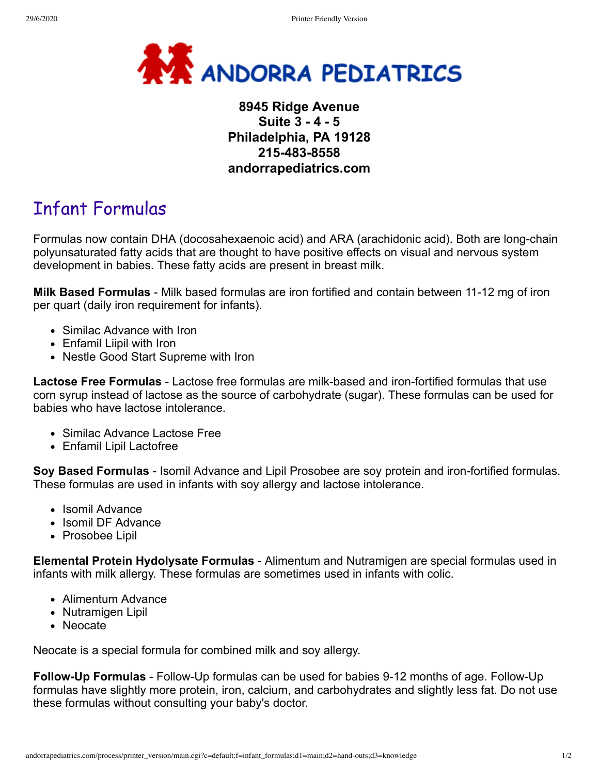

## **8945 Ridge Avenue Suite 3 - 4 - 5 Philadelphia, PA 19128 215-483-8558 andorrapediatrics.com**

# Infant Formulas

Formulas now contain DHA (docosahexaenoic acid) and ARA (arachidonic acid). Both are long-chain polyunsaturated fatty acids that are thought to have positive effects on visual and nervous system development in babies. These fatty acids are present in breast milk.

**Milk Based Formulas** - Milk based formulas are iron fortified and contain between 11-12 mg of iron per quart (daily iron requirement for infants).

- Similac Advance with Iron
- Enfamil Liipil with Iron
- Nestle Good Start Supreme with Iron

**Lactose Free Formulas** - Lactose free formulas are milk-based and iron-fortified formulas that use corn syrup instead of lactose as the source of carbohydrate (sugar). These formulas can be used for babies who have lactose intolerance.

- Similac Advance Lactose Free
- Enfamil Lipil Lactofree

**Soy Based Formulas** - Isomil Advance and Lipil Prosobee are soy protein and iron-fortified formulas. These formulas are used in infants with soy allergy and lactose intolerance.

- Isomil Advance
- Isomil DF Advance
- Prosobee Lipil

**Elemental Protein Hydolysate Formulas** - Alimentum and Nutramigen are special formulas used in infants with milk allergy. These formulas are sometimes used in infants with colic.

- Alimentum Advance
- Nutramigen Lipil
- Neocate

Neocate is a special formula for combined milk and soy allergy.

**Follow-Up Formulas** - Follow-Up formulas can be used for babies 9-12 months of age. Follow-Up formulas have slightly more protein, iron, calcium, and carbohydrates and slightly less fat. Do not use these formulas without consulting your baby's doctor.